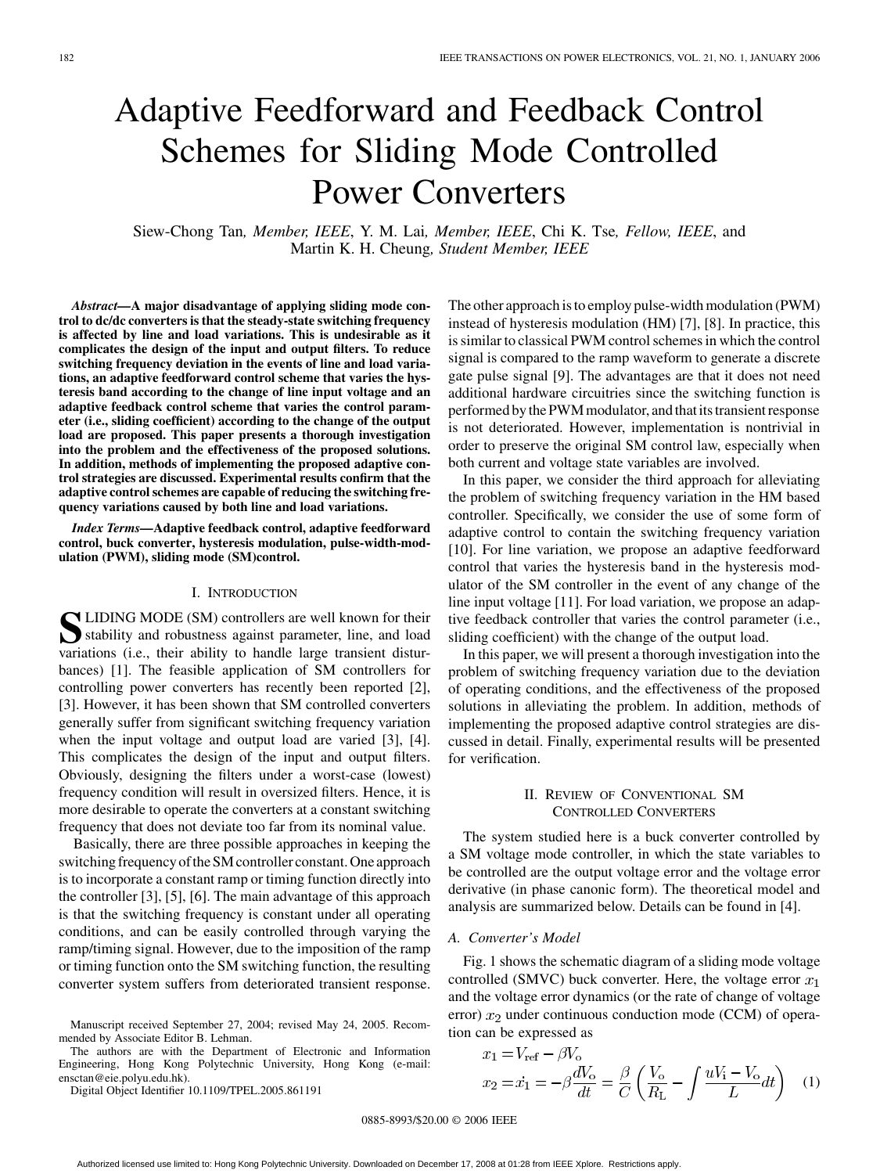# Adaptive Feedforward and Feedback Control Schemes for Sliding Mode Controlled Power Converters

Siew-Chong Tan*, Member, IEEE*, Y. M. Lai*, Member, IEEE*, Chi K. Tse*, Fellow, IEEE*, and Martin K. H. Cheung*, Student Member, IEEE*

*Abstract—***A major disadvantage of applying sliding mode control to dc/dc converters is that the steady-state switching frequency is affected by line and load variations. This is undesirable as it complicates the design of the input and output filters. To reduce switching frequency deviation in the events of line and load variations, an adaptive feedforward control scheme that varies the hysteresis band according to the change of line input voltage and an adaptive feedback control scheme that varies the control parameter (i.e., sliding coefficient) according to the change of the output load are proposed. This paper presents a thorough investigation into the problem and the effectiveness of the proposed solutions. In addition, methods of implementing the proposed adaptive control strategies are discussed. Experimental results confirm that the adaptive control schemes are capable of reducing the switching frequency variations caused by both line and load variations.**

*Index Terms—***Adaptive feedback control, adaptive feedforward control, buck converter, hysteresis modulation, pulse-width-modulation (PWM), sliding mode (SM)control.**

#### I. INTRODUCTION

**S**LIDING MODE (SM) controllers are well known for their stability and robustness against parameter, line, and load variations (i.e., their ability to handle large transient disturbances) [\[1](#page-9-0)]. The feasible application of SM controllers for controlling power converters has recently been reported [[2\]](#page-9-0), [[3\]](#page-9-0). However, it has been shown that SM controlled converters generally suffer from significant switching frequency variation when the input voltage and output load are varied [\[3](#page-9-0)], [[4\]](#page-9-0). This complicates the design of the input and output filters. Obviously, designing the filters under a worst-case (lowest) frequency condition will result in oversized filters. Hence, it is more desirable to operate the converters at a constant switching frequency that does not deviate too far from its nominal value.

Basically, there are three possible approaches in keeping the switching frequency of the SM controller constant. One approach is to incorporate a constant ramp or timing function directly into the controller [\[3](#page-9-0)], [[5\]](#page-9-0), [\[6](#page-9-0)]. The main advantage of this approach is that the switching frequency is constant under all operating conditions, and can be easily controlled through varying the ramp/timing signal. However, due to the imposition of the ramp or timing function onto the SM switching function, the resulting converter system suffers from deteriorated transient response.

The authors are with the Department of Electronic and Information Engineering, Hong Kong Polytechnic University, Hong Kong (e-mail: ensctan@eie.polyu.edu.hk).

Digital Object Identifier 10.1109/TPEL.2005.861191

The other approach is to employ pulse-width modulation (PWM) instead of hysteresis modulation (HM) [\[7](#page-9-0)], [[8\]](#page-9-0). In practice, this is similar to classical PWM control schemes in which the control signal is compared to the ramp waveform to generate a discrete gate pulse signal [[9](#page-10-0)]. The advantages are that it does not need additional hardware circuitries since the switching function is performed by the PWM modulator, and that its transient response is not deteriorated. However, implementation is nontrivial in order to preserve the original SM control law, especially when both current and voltage state variables are involved.

In this paper, we consider the third approach for alleviating the problem of switching frequency variation in the HM based controller. Specifically, we consider the use of some form of adaptive control to contain the switching frequency variation [[10\]](#page-10-0). For line variation, we propose an adaptive feedforward control that varies the hysteresis band in the hysteresis modulator of the SM controller in the event of any change of the line input voltage [[11\]](#page-10-0). For load variation, we propose an adaptive feedback controller that varies the control parameter (i.e., sliding coefficient) with the change of the output load.

In this paper, we will present a thorough investigation into the problem of switching frequency variation due to the deviation of operating conditions, and the effectiveness of the proposed solutions in alleviating the problem. In addition, methods of implementing the proposed adaptive control strategies are discussed in detail. Finally, experimental results will be presented for verification.

# II. REVIEW OF CONVENTIONAL SM CONTROLLED CONVERTERS

The system studied here is a buck converter controlled by a SM voltage mode controller, in which the state variables to be controlled are the output voltage error and the voltage error derivative (in phase canonic form). The theoretical model and analysis are summarized below. Details can be found in [[4\]](#page-9-0).

#### *A. Converter's Model*

Fig. 1 shows the schematic diagram of a sliding mode voltage controlled (SMVC) buck converter. Here, the voltage error  $x_1$ and the voltage error dynamics (or the rate of change of voltage error)  $x_2$  under continuous conduction mode (CCM) of operation can be expressed as

$$
x_1 = V_{\text{ref}} - \beta V_o
$$
  
\n
$$
x_2 = \dot{x}_1 = -\beta \frac{dV_o}{dt} = \frac{\beta}{C} \left( \frac{V_o}{R_L} - \int \frac{uV_i - V_o}{L} dt \right)
$$
 (1)

0885-8993/\$20.00 © 2006 IEEE

Manuscript received September 27, 2004; revised May 24, 2005. Recommended by Associate Editor B. Lehman.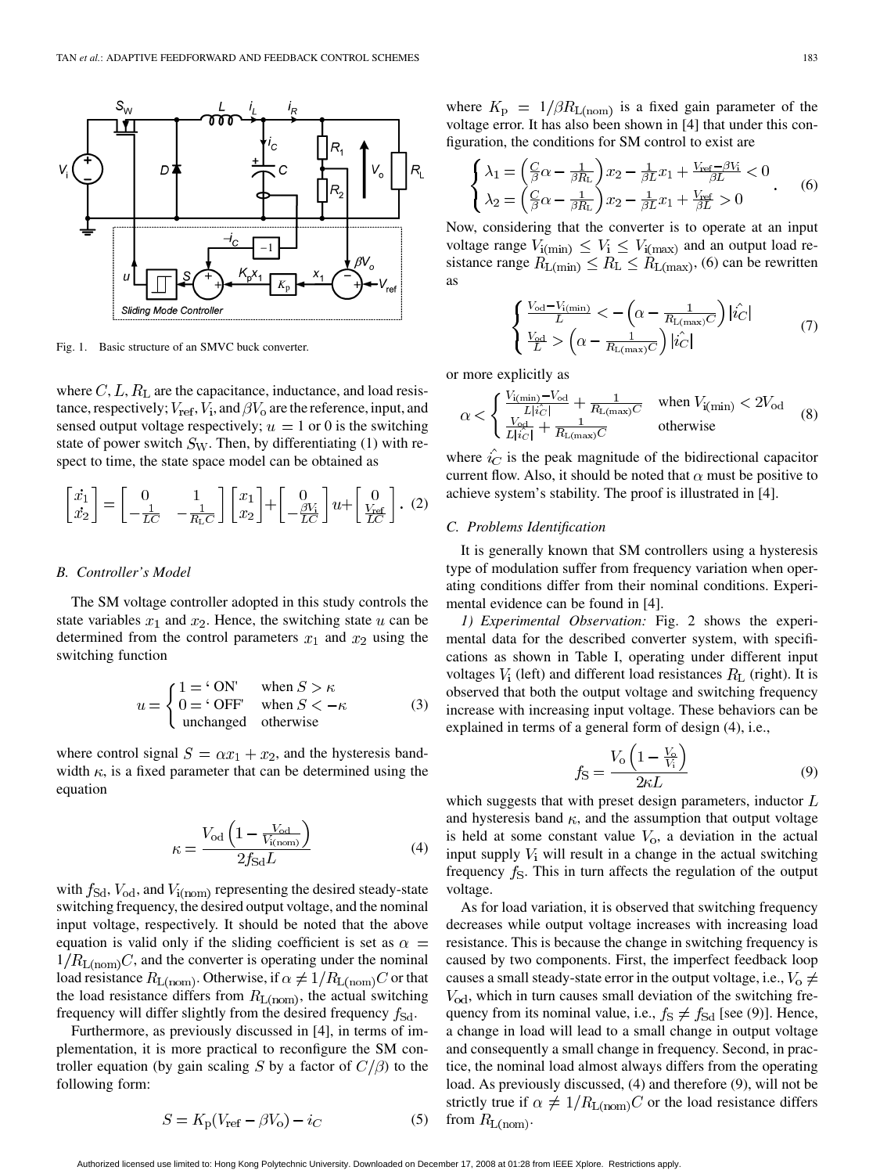

Fig. 1. Basic structure of an SMVC buck converter.

where  $C, L, R<sub>L</sub>$  are the capacitance, inductance, and load resistance, respectively;  $V_{\text{ref}}$ ,  $V_i$ , and  $\beta V_o$  are the reference, input, and sensed output voltage respectively;  $u = 1$  or 0 is the switching state of power switch  $S_{W}$ . Then, by differentiating (1) with respect to time, the state space model can be obtained as

$$
\begin{bmatrix} \dot{x}_1 \\ \dot{x}_2 \end{bmatrix} = \begin{bmatrix} 0 & 1 \\ -\frac{1}{LC} & -\frac{1}{R LC} \end{bmatrix} \begin{bmatrix} x_1 \\ x_2 \end{bmatrix} + \begin{bmatrix} 0 \\ -\frac{\beta V_1}{LC} \end{bmatrix} u + \begin{bmatrix} 0 \\ \frac{V_{\text{ref}}}{LC} \end{bmatrix}.
$$
 (2)

#### *B. Controller's Model*

The SM voltage controller adopted in this study controls the state variables  $x_1$  and  $x_2$ . Hence, the switching state u can be determined from the control parameters  $x_1$  and  $x_2$  using the switching function

$$
u = \begin{cases} 1 = 'ON' & \text{when } S > \kappa \\ 0 = 'OFF' & \text{when } S < -\kappa \\ \text{unchanged} & \text{otherwise} \end{cases}
$$
 (3)

where control signal  $S = \alpha x_1 + x_2$ , and the hysteresis bandwidth  $\kappa$ , is a fixed parameter that can be determined using the equation

$$
\kappa = \frac{V_{\text{od}} \left(1 - \frac{V_{\text{od}}}{V_{\text{i}(\text{nom})}}\right)}{2f_{\text{Sd}}L} \tag{4}
$$

with  $f_{\rm Sd}$ ,  $V_{\rm od}$ , and  $V_{\rm i(nom)}$  representing the desired steady-state switching frequency, the desired output voltage, and the nominal input voltage, respectively. It should be noted that the above equation is valid only if the sliding coefficient is set as  $\alpha =$  $1/R_{\text{L}(\text{nom})}C$ , and the converter is operating under the nominal load resistance  $R_{\text{L(nom)}}$ . Otherwise, if  $\alpha \neq 1/R_{\text{L(nom)}}C$  or that the load resistance differs from  $R_{\text{L}(\text{nom})}$ , the actual switching frequency will differ slightly from the desired frequency  $f_{\rm Sd}$ .

Furthermore, as previously discussed in [[4](#page-9-0)], in terms of implementation, it is more practical to reconfigure the SM controller equation (by gain scaling S by a factor of  $C/\beta$ ) to the following form:

$$
S = K_{\rm p}(V_{\rm ref} - \beta V_{\rm o}) - i_C \tag{5}
$$

where  $K_{\rm p} = 1/\beta R_{\rm L(nom)}$  is a fixed gain parameter of the voltage error. It has also been shown in [[4\]](#page-9-0) that under this configuration, the conditions for SM control to exist are

$$
\begin{cases}\n\lambda_1 = \left(\frac{C}{\beta}\alpha - \frac{1}{\beta R_L}\right)x_2 - \frac{1}{\beta L}x_1 + \frac{V_{\text{ref}} - \beta V_i}{\beta L} < 0 \\
\lambda_2 = \left(\frac{C}{\beta}\alpha - \frac{1}{\beta R_L}\right)x_2 - \frac{1}{\beta L}x_1 + \frac{V_{\text{ref}}}{\beta L} > 0\n\end{cases} \tag{6}
$$

Now, considering that the converter is to operate at an input voltage range  $V_{i(min)} \leq V_i \leq V_{i(max)}$  and an output load resistance range  $R_{\text{L}(min)} \leq R_{\text{L}} \leq R_{\text{L}(max)}$ , (6) can be rewritten as

$$
\begin{cases} \frac{V_{\text{od}} - V_{\text{i}(\text{min})}}{L} < -\left(\alpha - \frac{1}{R_{\text{L}(\text{max})}C}\right) |\hat{i_C}|\\ \frac{V_{\text{od}}}{L} > \left(\alpha - \frac{1}{R_{\text{L}(\text{max})}C}\right) |\hat{i_C}| \end{cases} \tag{7}
$$

or more explicitly as

$$
\alpha < \begin{cases} \frac{V_{\text{i}(\text{min})} - V_{\text{od}}}{L|i\hat{c}|} + \frac{1}{R_{\text{L}(\text{max})}C} & \text{when } V_{\text{i}(\text{min})} < 2V_{\text{od}}\\ \frac{V_{\text{od}}}{L|i\hat{c}|} + \frac{1}{R_{\text{L}(\text{max})}C} & \text{otherwise} \end{cases} \tag{8}
$$

where  $i_C$  is the peak magnitude of the bidirectional capacitor current flow. Also, it should be noted that  $\alpha$  must be positive to achieve system's stability. The proof is illustrated in [\[4](#page-9-0)].

#### *C. Problems Identification*

It is generally known that SM controllers using a hysteresis type of modulation suffer from frequency variation when operating conditions differ from their nominal conditions. Experimental evidence can be found in [\[4](#page-9-0)].

*1) Experimental Observation:* Fig. 2 shows the experimental data for the described converter system, with specifications as shown in Table I, operating under different input voltages  $V_i$  (left) and different load resistances  $R_i$  (right). It is observed that both the output voltage and switching frequency increase with increasing input voltage. These behaviors can be explained in terms of a general form of design (4), i.e.,

$$
f_{\rm S} = \frac{V_{\rm o}\left(1 - \frac{V_{\rm o}}{V_{\rm i}}\right)}{2\kappa L} \tag{9}
$$

which suggests that with preset design parameters, inductor  $L$ and hysteresis band  $\kappa$ , and the assumption that output voltage is held at some constant value  $V_0$ , a deviation in the actual input supply  $V_i$  will result in a change in the actual switching frequency  $f_S$ . This in turn affects the regulation of the output voltage.

As for load variation, it is observed that switching frequency decreases while output voltage increases with increasing load resistance. This is because the change in switching frequency is caused by two components. First, the imperfect feedback loop causes a small steady-state error in the output voltage, i.e.,  $V_0 \neq$  $V_{\rm od}$ , which in turn causes small deviation of the switching frequency from its nominal value, i.e.,  $f_s \neq f_{sd}$  [see (9)]. Hence, a change in load will lead to a small change in output voltage and consequently a small change in frequency. Second, in practice, the nominal load almost always differs from the operating load. As previously discussed, (4) and therefore (9), will not be strictly true if  $\alpha \neq 1/R_{\text{L(nom)}}C$  or the load resistance differs from  $R_{\text{L}(\text{nom})}$ .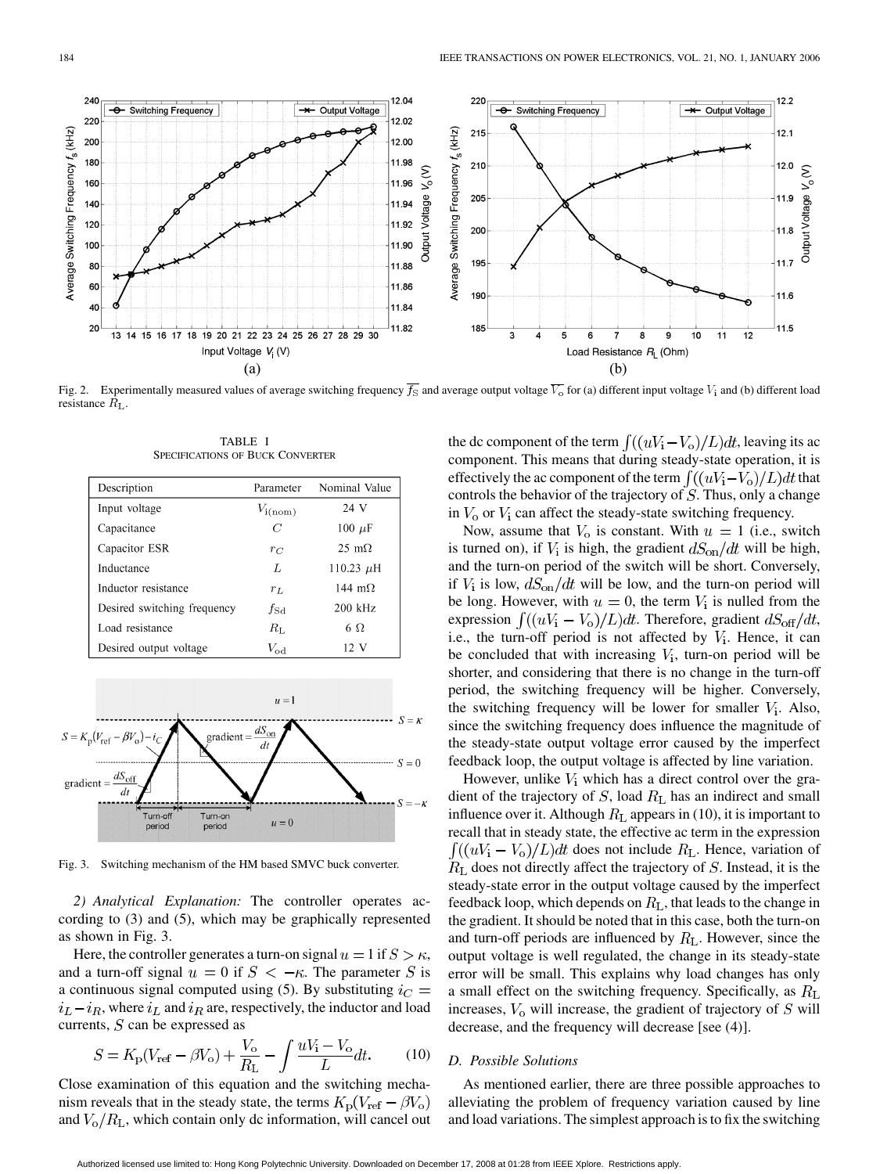240 12.04  $12.2$  $220$  $\overline{\bullet}$ Switching Frequency Output Voltage - Switching Frequency  $\overline{\mathbf{H}}$  Output Voltage  $22C$ 12.02 Average Switching Frequency  $f_s$  (kHz) Average Switching Frequency f<sub>s</sub> (kHz)  $215$  $12.1$ 200 12.00 180 11.98 210 12.0 Output Voltage V<sub>o</sub> (V) Output Voltage V<sub>o</sub>(V) 160 11.96 205 11.9 140 11.94 120 11.92 200  $11.8$ 100 11.90 195  $11.7$ 80 11.88 60 11.86 190 11.6  $40$ 11.84  $11.5$  $20$ 11.82 185 13 14 15 16 17 18 19 20 21 22 23 24 25 26 27 28 29 30  $10$  $11$  $12$ 3 5 6 8 9 Input Voltage  $V_i(V)$ Load Resistance  $R_{L}$  (Ohm)  $(a)$  $(b)$ 

Fig. 2. Experimentally measured values of average switching frequency  $\overline{f_S}$  and average output voltage  $\overline{V_0}$  for (a) different input voltage  $V_i$  and (b) different load resistance  $R_{\rm L}$ .

| Description                 | Parameter           | Nominal Value        |
|-----------------------------|---------------------|----------------------|
| Input voltage               | $V_{i(\text{nom})}$ | 24 V                 |
| Capacitance                 | C                   | 100 $\mu$ F          |
| Capacitor ESR               | $r_C$               | $25 \text{ m}\Omega$ |
| Inductance                  | L                   | 110.23 $\mu$ H       |
| Inductor resistance         | $r_L$               | 144 m $\Omega$       |
| Desired switching frequency | $f_{\rm Sd}$        | $200$ kHz            |
| Load resistance             | $R_{\rm L}$         | $6\Omega$            |
| Desired output voltage      | $V_{\alpha d}$      | 12 V                 |

TABLE I SPECIFICATIONS OF BUCK CONVERTER



Fig. 3. Switching mechanism of the HM based SMVC buck converter.

*2) Analytical Explanation:* The controller operates according to (3) and (5), which may be graphically represented as shown in Fig. 3.

Here, the controller generates a turn-on signal  $u = 1$  if  $S > \kappa$ , and a turn-off signal  $u = 0$  if  $S < -\kappa$ . The parameter S is a continuous signal computed using (5). By substituting  $i_C =$  $i_L - i_R$ , where  $i_L$  and  $i_R$  are, respectively, the inductor and load currents,  $S$  can be expressed as

$$
S = K_{\rm p}(V_{\rm ref} - \beta V_{\rm o}) + \frac{V_{\rm o}}{R_{\rm L}} - \int \frac{uV_{\rm i} - V_{\rm o}}{L} dt.
$$
 (10)

Close examination of this equation and the switching mechanism reveals that in the steady state, the terms  $K_{\rm p}(V_{\rm ref} - \beta V_{\rm o})$ and  $V_{\rm o}/R_{\rm L}$ , which contain only dc information, will cancel out

the dc component of the term  $\int ((uV_i - V_o)/L) dt$ , leaving its ac component. This means that during steady-state operation, it is effectively the ac component of the term  $\int ((uV_i - V_o)/L) dt$  that controls the behavior of the trajectory of  $S$ . Thus, only a change in  $V_0$  or  $V_i$  can affect the steady-state switching frequency.

Now, assume that  $V_0$  is constant. With  $u = 1$  (i.e., switch is turned on), if  $V_i$  is high, the gradient  $dS_{on}/dt$  will be high, and the turn-on period of the switch will be short. Conversely, if  $V_i$  is low,  $dS_{on}/dt$  will be low, and the turn-on period will be long. However, with  $u = 0$ , the term  $V_i$  is nulled from the expression  $\int ((uV_i - V_o)/L)dt$ . Therefore, gradient  $dS_{\text{off}}/dt$ , i.e., the turn-off period is not affected by  $V_i$ . Hence, it can be concluded that with increasing  $V_i$ , turn-on period will be shorter, and considering that there is no change in the turn-off period, the switching frequency will be higher. Conversely, the switching frequency will be lower for smaller  $V_i$ . Also, since the switching frequency does influence the magnitude of the steady-state output voltage error caused by the imperfect feedback loop, the output voltage is affected by line variation.

However, unlike  $V_i$  which has a direct control over the gradient of the trajectory of  $S$ , load  $R<sub>L</sub>$  has an indirect and small influence over it. Although  $R<sub>L</sub>$  appears in (10), it is important to recall that in steady state, the effective ac term in the expression  $\int ((uV_i - V_o)/L)dt$  does not include  $R_L$ . Hence, variation of  $R_{\text{L}}$  does not directly affect the trajectory of S. Instead, it is the steady-state error in the output voltage caused by the imperfect feedback loop, which depends on  $R<sub>L</sub>$ , that leads to the change in the gradient. It should be noted that in this case, both the turn-on and turn-off periods are influenced by  $R_L$ . However, since the output voltage is well regulated, the change in its steady-state error will be small. This explains why load changes has only a small effect on the switching frequency. Specifically, as  $R_{\rm L}$ increases,  $V_0$  will increase, the gradient of trajectory of  $S$  will decrease, and the frequency will decrease [see (4)].

## *D. Possible Solutions*

As mentioned earlier, there are three possible approaches to alleviating the problem of frequency variation caused by line and load variations. The simplest approach is to fix the switching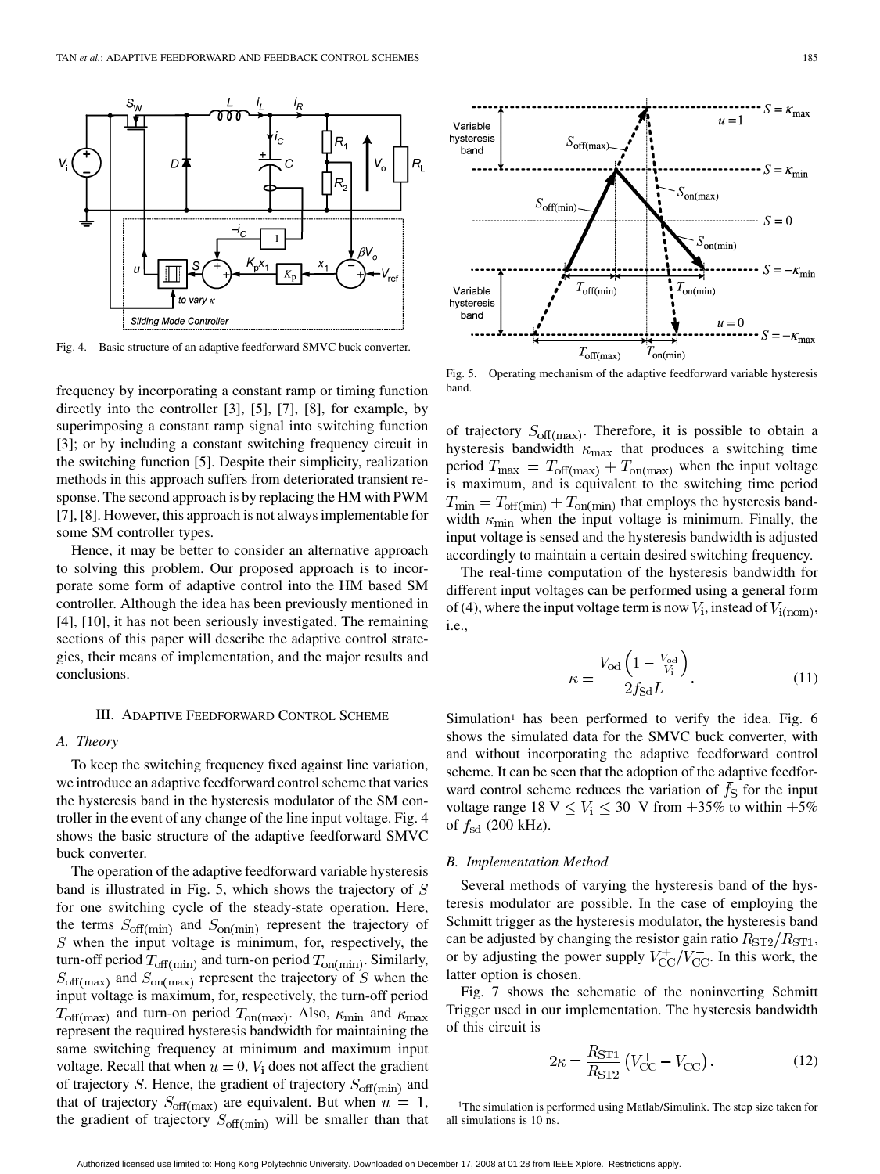

Fig. 4. Basic structure of an adaptive feedforward SMVC buck converter.

frequency by incorporating a constant ramp or timing function directly into the controller [\[3](#page-9-0)], [\[5](#page-9-0)], [[7\]](#page-9-0), [[8\]](#page-9-0), for example, by superimposing a constant ramp signal into switching function [\[3](#page-9-0)]; or by including a constant switching frequency circuit in the switching function [\[5](#page-9-0)]. Despite their simplicity, realization methods in this approach suffers from deteriorated transient response. The second approach is by replacing the HM with PWM [\[7](#page-9-0)], [\[8](#page-9-0)]. However, this approach is not always implementable for some SM controller types.

Hence, it may be better to consider an alternative approach to solving this problem. Our proposed approach is to incorporate some form of adaptive control into the HM based SM controller. Although the idea has been previously mentioned in [\[4](#page-9-0)], [\[10](#page-10-0)], it has not been seriously investigated. The remaining sections of this paper will describe the adaptive control strategies, their means of implementation, and the major results and conclusions.

## III. ADAPTIVE FEEDFORWARD CONTROL SCHEME

# *A. Theory*

To keep the switching frequency fixed against line variation, we introduce an adaptive feedforward control scheme that varies the hysteresis band in the hysteresis modulator of the SM controller in the event of any change of the line input voltage. Fig. 4 shows the basic structure of the adaptive feedforward SMVC buck converter.

The operation of the adaptive feedforward variable hysteresis band is illustrated in Fig. 5, which shows the trajectory of  $S$ for one switching cycle of the steady-state operation. Here, the terms  $S_{\text{off}(min)}$  and  $S_{\text{on}(min)}$  represent the trajectory of  $S$  when the input voltage is minimum, for, respectively, the turn-off period  $T_{\text{off}(min)}$  and turn-on period  $T_{\text{on}(min)}$ . Similarly,  $S_{\text{off(max)}}$  and  $S_{\text{on(max)}}$  represent the trajectory of S when the input voltage is maximum, for, respectively, the turn-off period  $T_{\text{off(max)}}$  and turn-on period  $T_{\text{on(max)}}$ . Also,  $\kappa_{\text{min}}$  and  $\kappa_{\text{max}}$ represent the required hysteresis bandwidth for maintaining the same switching frequency at minimum and maximum input voltage. Recall that when  $u = 0$ ,  $V_i$  does not affect the gradient of trajectory S. Hence, the gradient of trajectory  $S_{\text{off}(min)}$  and that of trajectory  $S_{\text{off(max)}}$  are equivalent. But when  $u = 1$ , the gradient of trajectory  $S_{\text{off}(min)}$  will be smaller than that



Fig. 5. Operating mechanism of the adaptive feedforward variable hysteresis band.

of trajectory  $S_{\text{off(max)}}$ . Therefore, it is possible to obtain a hysteresis bandwidth  $\kappa_{\text{max}}$  that produces a switching time period  $T_{\text{max}} = T_{\text{off(max)}} + T_{\text{on(max)}}$  when the input voltage is maximum, and is equivalent to the switching time period  $T_{\text{min}} = T_{\text{off}(m\text{in})} + T_{\text{on}(m\text{in})}$  that employs the hysteresis bandwidth  $\kappa_{\min}$  when the input voltage is minimum. Finally, the input voltage is sensed and the hysteresis bandwidth is adjusted accordingly to maintain a certain desired switching frequency.

The real-time computation of the hysteresis bandwidth for different input voltages can be performed using a general form of (4), where the input voltage term is now  $V_i$ , instead of  $V_{i(nom)}$ , i.e.,

$$
\kappa = \frac{V_{\text{od}} \left(1 - \frac{V_{\text{od}}}{V_{\text{i}}}\right)}{2f_{\text{Sd}}L}.
$$
\n(11)

Simulation<sup>1</sup> has been performed to verify the idea. Fig.  $6$ shows the simulated data for the SMVC buck converter, with and without incorporating the adaptive feedforward control scheme. It can be seen that the adoption of the adaptive feedforward control scheme reduces the variation of  $f<sub>S</sub>$  for the input voltage range 18 V  $\leq V_i \leq 30$  V from  $\pm 35\%$  to within  $\pm 5\%$ of  $f_{\rm sd}$  (200 kHz).

## *B. Implementation Method*

Several methods of varying the hysteresis band of the hysteresis modulator are possible. In the case of employing the Schmitt trigger as the hysteresis modulator, the hysteresis band can be adjusted by changing the resistor gain ratio  $R_{ST2}/R_{ST1}$ , or by adjusting the power supply  $V_{\text{CC}}^{+}/V_{\text{CC}}^{-}$ . In this work, the latter option is chosen.

Fig. 7 shows the schematic of the noninverting Schmitt Trigger used in our implementation. The hysteresis bandwidth of this circuit is

$$
2\kappa = \frac{R_{\rm ST1}}{R_{\rm ST2}} \left( V_{\rm CC}^+ - V_{\rm CC}^- \right). \tag{12}
$$

<sup>1</sup>The simulation is performed using Matlab/Simulink. The step size taken for all simulations is 10 ns.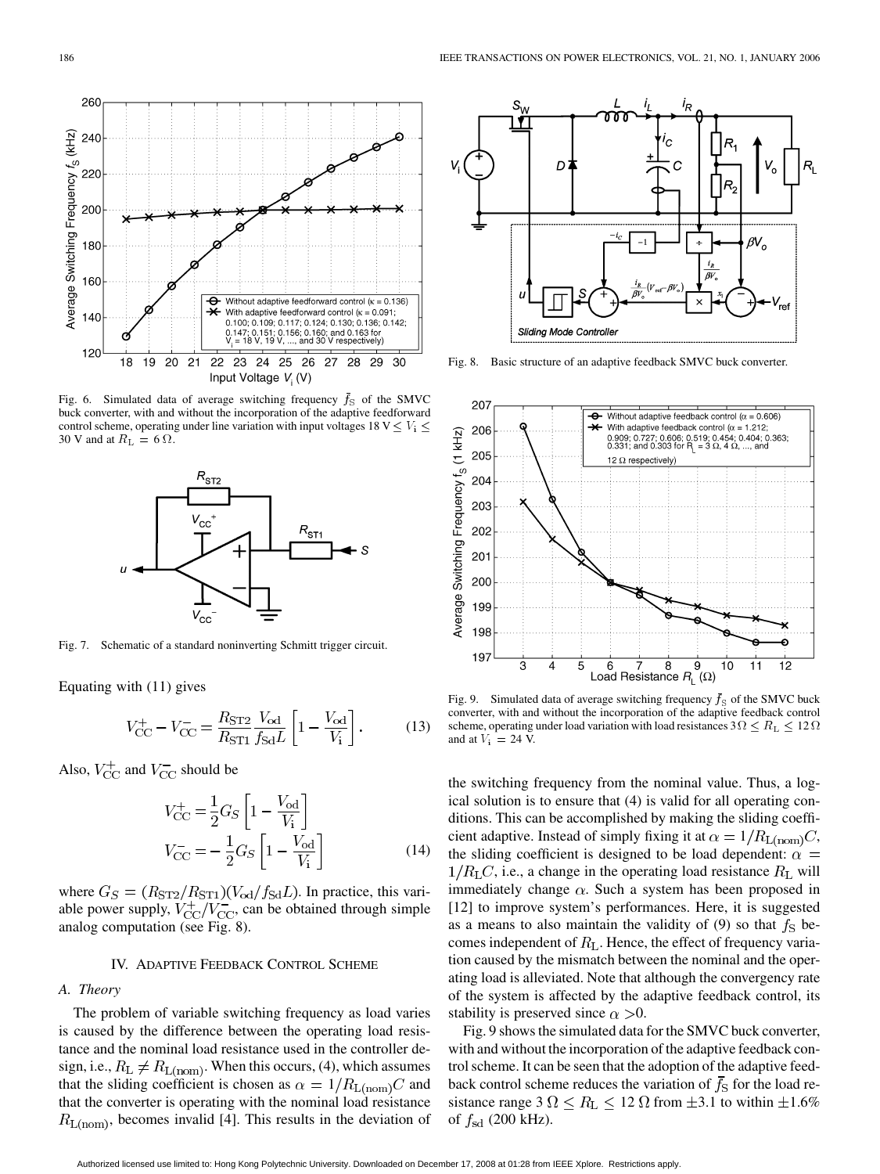

Fig. 6. Simulated data of average switching frequency  $\bar{f}_S$  of the SMVC buck converter, with and without the incorporation of the adaptive feedforward control scheme, operating under line variation with input voltages 18 V  $\leq$  V<sub>i</sub>  $\leq$ 30 V and at  $R_{\rm L} = 6 \Omega$ .



Fig. 7. Schematic of a standard noninverting Schmitt trigger circuit.

Equating with (11) gives

$$
V_{\rm CC}^{+} - V_{\rm CC}^{-} = \frac{R_{\rm ST2}}{R_{\rm ST1}} \frac{V_{\rm od}}{f_{\rm Sd}L} \left[ 1 - \frac{V_{\rm od}}{V_{\rm i}} \right].
$$
 (13)

Also,  $V_{\text{CC}}^{+}$  and  $V_{\text{CC}}^{-}$  should be

$$
V_{\rm CC}^{+} = \frac{1}{2} G_S \left[ 1 - \frac{V_{\rm od}}{V_i} \right]
$$
  

$$
V_{\rm CC}^{-} = -\frac{1}{2} G_S \left[ 1 - \frac{V_{\rm od}}{V_i} \right]
$$
 (14)

where  $G_S = (R_{ST2}/R_{ST1})(V_{od}/f_{Sd}L)$ . In practice, this variable power supply,  $V_{\text{CC}}^{+}/V_{\text{CC}}^{-}$ , can be obtained through simple analog computation (see Fig. 8).

# IV. ADAPTIVE FEEDBACK CONTROL SCHEME

## *A. Theory*

The problem of variable switching frequency as load varies is caused by the difference between the operating load resistance and the nominal load resistance used in the controller design, i.e.,  $R_L \neq R_{L(nom)}$ . When this occurs, (4), which assumes that the sliding coefficient is chosen as  $\alpha = 1/R_{\text{L(nom)}}C$  and that the converter is operating with the nominal load resistance  $R_{\text{L(nom)}}$ , becomes invalid [\[4](#page-9-0)]. This results in the deviation of



Fig. 8. Basic structure of an adaptive feedback SMVC buck converter.



Fig. 9. Simulated data of average switching frequency  $\bar{f}_S$  of the SMVC buck converter, with and without the incorporation of the adaptive feedback control scheme, operating under load variation with load resistances 3  $\Omega \le R_{\rm L} \le 12 \Omega$ and at  $V_i = 24$  V.

the switching frequency from the nominal value. Thus, a logical solution is to ensure that (4) is valid for all operating conditions. This can be accomplished by making the sliding coefficient adaptive. Instead of simply fixing it at  $\alpha = 1/R_{\text{L(nom)}}C$ , the sliding coefficient is designed to be load dependent:  $\alpha =$  $1/R_{\rm L}C$ , i.e., a change in the operating load resistance  $R_{\rm L}$  will immediately change  $\alpha$ . Such a system has been proposed in [[12\]](#page-10-0) to improve system's performances. Here, it is suggested as a means to also maintain the validity of (9) so that  $f<sub>S</sub>$  becomes independent of  $R_L$ . Hence, the effect of frequency variation caused by the mismatch between the nominal and the operating load is alleviated. Note that although the convergency rate of the system is affected by the adaptive feedback control, its stability is preserved since  $\alpha > 0$ .

Fig. 9 shows the simulated data for the SMVC buck converter, with and without the incorporation of the adaptive feedback control scheme. It can be seen that the adoption of the adaptive feedback control scheme reduces the variation of  $f<sub>S</sub>$  for the load resistance range 3  $\Omega \le R_{\text{L}} \le 12 \Omega$  from  $\pm 3.1$  to within  $\pm 1.6\%$ of  $f_{\rm sd}$  (200 kHz).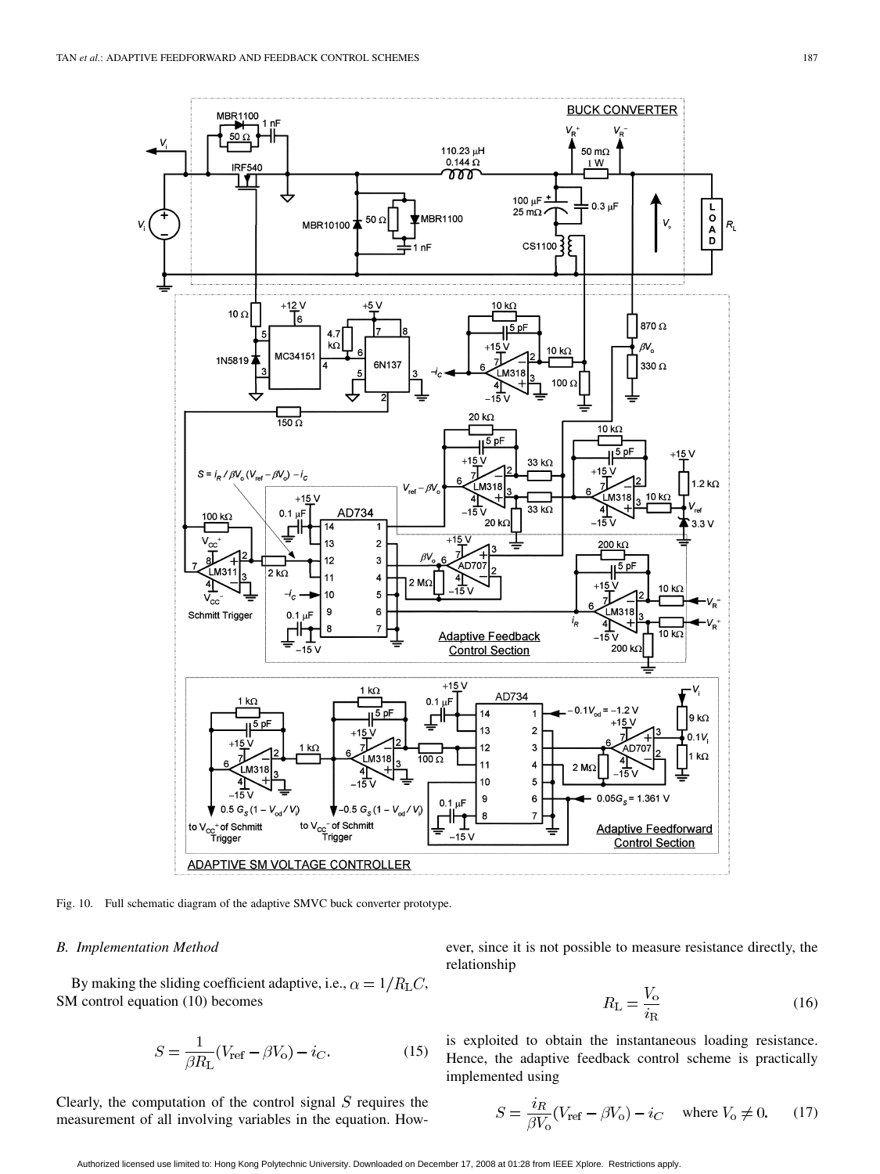

Fig. 10. Full schematic diagram of the adaptive SMVC buck converter prototype.

# *B. Implementation Method*

By making the sliding coefficient adaptive, i.e.,  $\alpha = 1 / R_{\rm L} C$ , SM control equation (10) becomes

$$
S = \frac{1}{\beta R_{\rm L}} (V_{\rm ref} - \beta V_{\rm o}) - i_C. \tag{15}
$$

Clearly, the computation of the control signal  $S$  requires the measurement of all involving variables in the equation. However, since it is not possible to measure resistance directly, the relationship

$$
R_{\rm L} = \frac{V_{\rm o}}{i_{\rm R}}\tag{16}
$$

is exploited to obtain the instantaneous loading resistance. Hence, the adaptive feedback control scheme is practically implemented using

$$
S = \frac{i_R}{\beta V_0} (V_{\text{ref}} - \beta V_0) - i_C \quad \text{where } V_0 \neq 0. \tag{17}
$$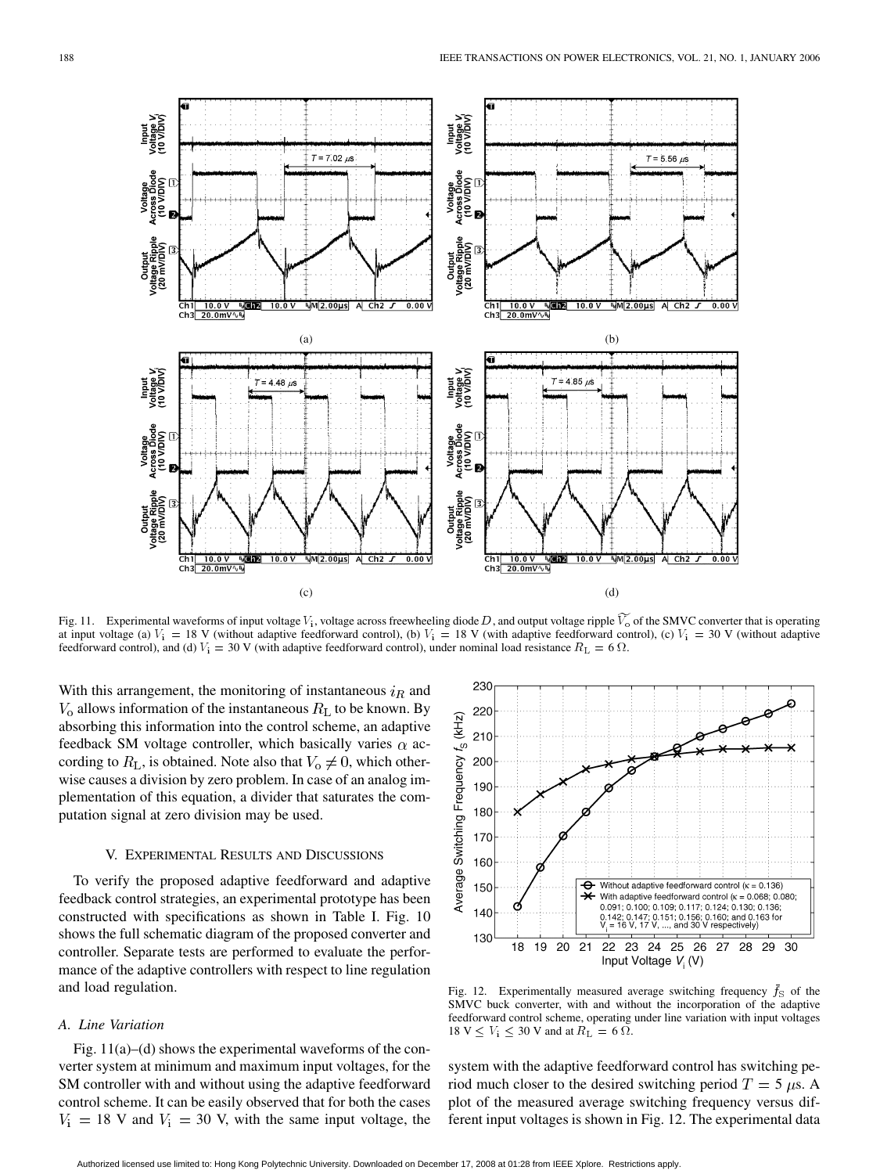Input<br>Voltage V<br>(10 V/DIV) Input<br>Voltage V<br>(10 V/DIV)  $T = 7.02 \mu s$  $T = 5.56 \mu s$ Voltage<br>Across Diode<br>(10 V/DIV)<br>**D** Voltage<br>cross Diode<br>(10 V/DIV) Output<br>Voltage Ripple<br>(20 mV/DIV) Output<br>tage Ripple<br>0 mV/DIV) **Jago** NGR  $10.0V$  $0.00V$  $2.00\mu s$  $Ch2$ Ch<sub>2</sub> Ch1 <u>| 10.0 V %</u><br>Ch3 <u>20.0mV∿%</u> Ch3 20.0mV \ %  $(a)$  $(b)$ Input<br>Voltage V<br>(10 V/DIV) Notage )<br>Nagaboy  $T = 4.85$  is  $T = 4.48$  in Output<br>Voltage Ripple<br>(20 mV/DIV) Voltage Rippl<br>(20 mV/DIV)  $20.0<sup>m</sup>V\sqrt{h}$  $Ch3$  20.0mV \ \  $cn3$  $\left( c\right)$  $(d)$ 

Fig. 11. Experimental waveforms of input voltage  $V_i$ , voltage across freewheeling diode D, and output voltage ripple  $V_o$  of the SMVC converter that is operating at input voltage (a)  $V_i = 18$  V (without adaptive feedforward control), (b)  $V_i = 18$  V (with adaptive feedforward control), (c)  $V_i = 30$  V (without adaptive feedforward control), and (d)  $V_1 = 30$  V (with adaptive feedforward control), under nominal load resistance  $R_L = 6 \Omega$ .

With this arrangement, the monitoring of instantaneous  $i_R$  and  $V_0$  allows information of the instantaneous  $R_L$  to be known. By absorbing this information into the control scheme, an adaptive feedback SM voltage controller, which basically varies  $\alpha$  according to  $R_L$ , is obtained. Note also that  $V_o \neq 0$ , which otherwise causes a division by zero problem. In case of an analog implementation of this equation, a divider that saturates the computation signal at zero division may be used.

#### V. EXPERIMENTAL RESULTS AND DISCUSSIONS

To verify the proposed adaptive feedforward and adaptive feedback control strategies, an experimental prototype has been constructed with specifications as shown in Table I. Fig. 10 shows the full schematic diagram of the proposed converter and controller. Separate tests are performed to evaluate the performance of the adaptive controllers with respect to line regulation and load regulation.

## *A. Line Variation*

Fig. 11(a)–(d) shows the experimental waveforms of the converter system at minimum and maximum input voltages, for the SM controller with and without using the adaptive feedforward control scheme. It can be easily observed that for both the cases  $V_1 = 18$  V and  $V_1 = 30$  V, with the same input voltage, the



Fig. 12. Experimentally measured average switching frequency  $\bar{f}_S$  of the SMVC buck converter, with and without the incorporation of the adaptive feedforward control scheme, operating under line variation with input voltages 18 V  $\leq V_i \leq 30$  V and at  $R_{\rm L} = 6 \Omega$ .

system with the adaptive feedforward control has switching period much closer to the desired switching period  $T = 5 \mu s$ . A plot of the measured average switching frequency versus different input voltages is shown in Fig. 12. The experimental data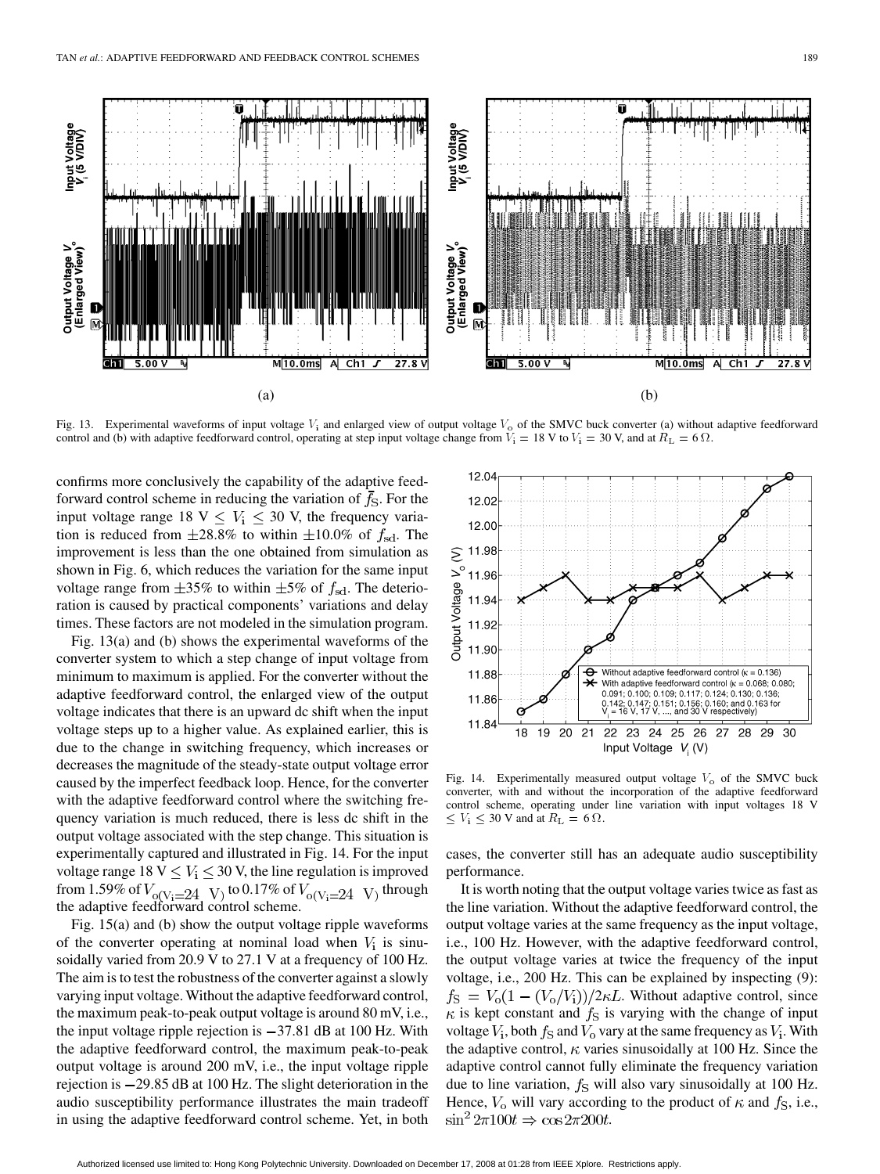

Fig. 13. Experimental waveforms of input voltage  $V_i$  and enlarged view of output voltage  $V_o$  of the SMVC buck converter (a) without adaptive feedforward control and (b) with adaptive feedforward control, operating at step input voltage change from  $\bar{V}_1 = 18$  V to  $V_1 = 30$  V, and at  $\bar{R}_L = 6 \Omega$ .

confirms more conclusively the capability of the adaptive feedforward control scheme in reducing the variation of  $\bar{f}_S$ . For the input voltage range 18 V  $\leq$   $V_i \leq 30$  V, the frequency variation is reduced from  $\pm 28.8\%$  to within  $\pm 10.0\%$  of  $f_{\rm sd}$ . The improvement is less than the one obtained from simulation as shown in Fig. 6, which reduces the variation for the same input voltage range from  $\pm 35\%$  to within  $\pm 5\%$  of  $f_{\rm sd}$ . The deterioration is caused by practical components' variations and delay times. These factors are not modeled in the simulation program.

Fig. 13(a) and (b) shows the experimental waveforms of the converter system to which a step change of input voltage from minimum to maximum is applied. For the converter without the adaptive feedforward control, the enlarged view of the output voltage indicates that there is an upward dc shift when the input voltage steps up to a higher value. As explained earlier, this is due to the change in switching frequency, which increases or decreases the magnitude of the steady-state output voltage error caused by the imperfect feedback loop. Hence, for the converter with the adaptive feedforward control where the switching frequency variation is much reduced, there is less dc shift in the output voltage associated with the step change. This situation is experimentally captured and illustrated in Fig. 14. For the input voltage range 18 V  $\leq$   $V_i \leq 30$  V, the line regulation is improved from 1.59% of  $V_{o(V_i=24 \ V)}$  to 0.17% of  $V_{o(V_i=24 \ V)}$  through the adaptive feedforward control scheme.

Fig. 15(a) and (b) show the output voltage ripple waveforms of the converter operating at nominal load when  $V_i$  is sinusoidally varied from 20.9 V to 27.1 V at a frequency of 100 Hz. The aim is to test the robustness of the converter against a slowly varying input voltage. Without the adaptive feedforward control, the maximum peak-to-peak output voltage is around 80 mV, i.e., the input voltage ripple rejection is  $-37.81$  dB at 100 Hz. With the adaptive feedforward control, the maximum peak-to-peak output voltage is around 200 mV, i.e., the input voltage ripple rejection is 29.85 dB at 100 Hz. The slight deterioration in the audio susceptibility performance illustrates the main tradeoff in using the adaptive feedforward control scheme. Yet, in both



Fig. 14. Experimentally measured output voltage  $V_0$  of the SMVC buck converter, with and without the incorporation of the adaptive feedforward control scheme, operating under line variation with input voltages 18 V  $\leq V_i \leq 30$  V and at  $R_L = 6 \Omega$ .

cases, the converter still has an adequate audio susceptibility performance.

It is worth noting that the output voltage varies twice as fast as the line variation. Without the adaptive feedforward control, the output voltage varies at the same frequency as the input voltage, i.e., 100 Hz. However, with the adaptive feedforward control, the output voltage varies at twice the frequency of the input voltage, i.e., 200 Hz. This can be explained by inspecting (9):  $f_{\rm S} = V_0 (1 - (V_0/V_i))/2\kappa L$ . Without adaptive control, since  $\kappa$  is kept constant and  $f_S$  is varying with the change of input voltage  $V_i$ , both  $f_S$  and  $V_o$  vary at the same frequency as  $V_i$ . With the adaptive control,  $\kappa$  varies sinusoidally at 100 Hz. Since the adaptive control cannot fully eliminate the frequency variation due to line variation,  $f<sub>S</sub>$  will also vary sinusoidally at 100 Hz. Hence,  $V_0$  will vary according to the product of  $\kappa$  and  $f_S$ , i.e.,  $\sin^2 2\pi 100t \Rightarrow \cos 2\pi 200t.$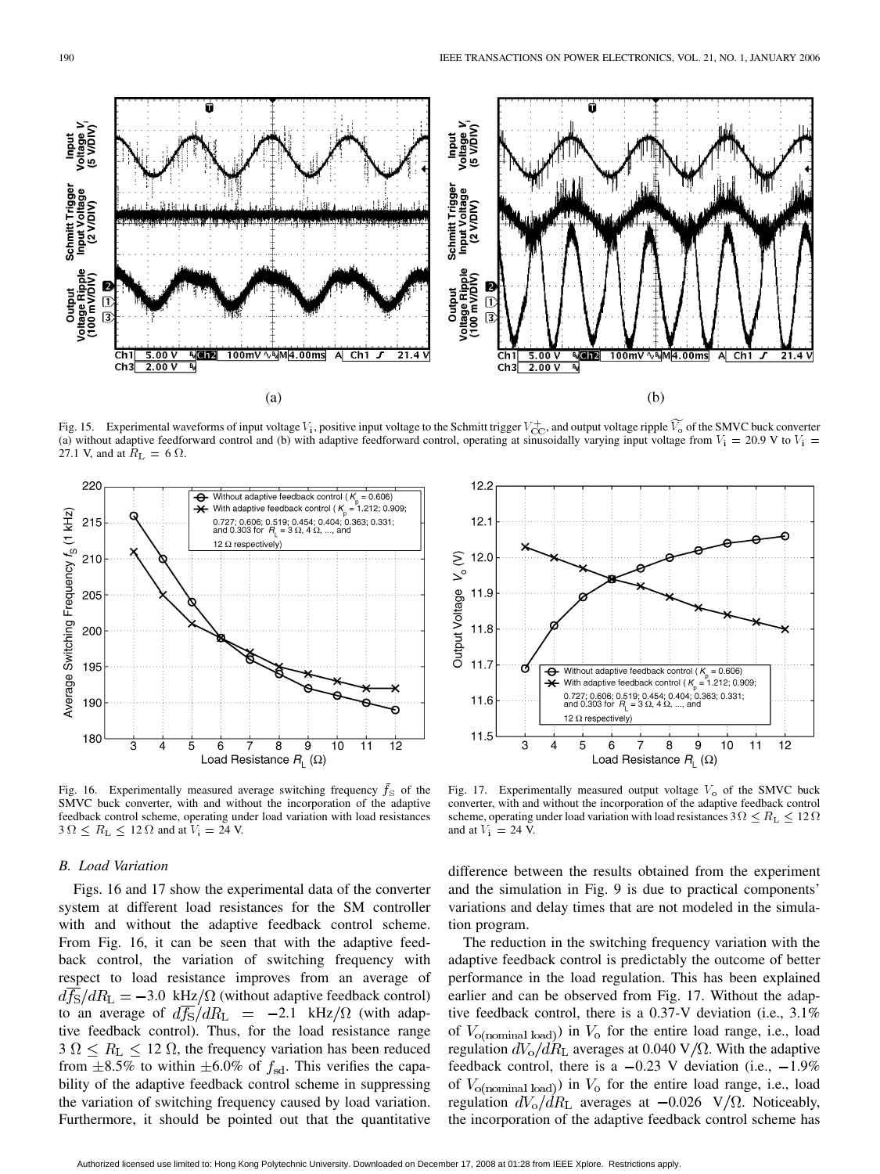

Fig. 15. Experimental waveforms of input voltage  $V_1$ , positive input voltage to the Schmitt trigger  $V_{\text{CC}}^+$ , and output voltage ripple  $\widetilde{V}_0$  of the SMVC buck converter (a) without adaptive feedforward control and (b) with adaptive feedforward control, operating at sinusoidally varying input voltage from  $V_i = 20.9$  V to  $V_i =$ 27.1 V, and at  $R_{\rm L} = 6 \Omega$ .



Fig. 16. Experimentally measured average switching frequency  $\bar{f}_S$  of the SMVC buck converter, with and without the incorporation of the adaptive feedback control scheme, operating under load variation with load resistances  $3 \Omega \le R_{\rm L} \le 12 \Omega$  and at  $V_{\rm i} = 24 \text{ V}$ .

#### *B. Load Variation*

Figs. 16 and 17 show the experimental data of the converter system at different load resistances for the SM controller with and without the adaptive feedback control scheme. From Fig. 16, it can be seen that with the adaptive feedback control, the variation of switching frequency with respect to load resistance improves from an average of  $d\overline{f_{\rm S}}/dR_{\rm L} = -3.0~{\rm kHz}/\Omega$  (without adaptive feedback control) to an average of  $d\overline{f_S}/dR_L = -2.1$  kHz/ $\Omega$  (with adaptive feedback control). Thus, for the load resistance range  $3 \Omega \le R_{\rm L} \le 12 \Omega$ , the frequency variation has been reduced from  $\pm 8.5\%$  to within  $\pm 6.0\%$  of  $f_{\rm sd}$ . This verifies the capability of the adaptive feedback control scheme in suppressing the variation of switching frequency caused by load variation. Furthermore, it should be pointed out that the quantitative



Fig. 17. Experimentally measured output voltage  $V_0$  of the SMVC buck converter, with and without the incorporation of the adaptive feedback control scheme, operating under load variation with load resistances 3  $\Omega \le R_{\rm L} \le 12 \Omega$ and at  $V_i = 24$  V.

difference between the results obtained from the experiment and the simulation in Fig. 9 is due to practical components' variations and delay times that are not modeled in the simulation program.

The reduction in the switching frequency variation with the adaptive feedback control is predictably the outcome of better performance in the load regulation. This has been explained earlier and can be observed from Fig. 17. Without the adaptive feedback control, there is a 0.37-V deviation (i.e., 3.1% of  $V_{\text{o}(\text{nominal load})}$  in  $V_{\text{o}}$  for the entire load range, i.e., load regulation  $dV_{\rm o}/dR_{\rm L}$  averages at 0.040 V/ $\Omega$ . With the adaptive feedback control, there is a  $-0.23$  V deviation (i.e.,  $-1.9\%$ ) of  $V_{\text{o}(\text{nominal load})}$  in  $V_{\text{o}}$  for the entire load range, i.e., load regulation  $dV_0/dR_L$  averages at  $-0.026$  V/ $\Omega$ . Noticeably, the incorporation of the adaptive feedback control scheme has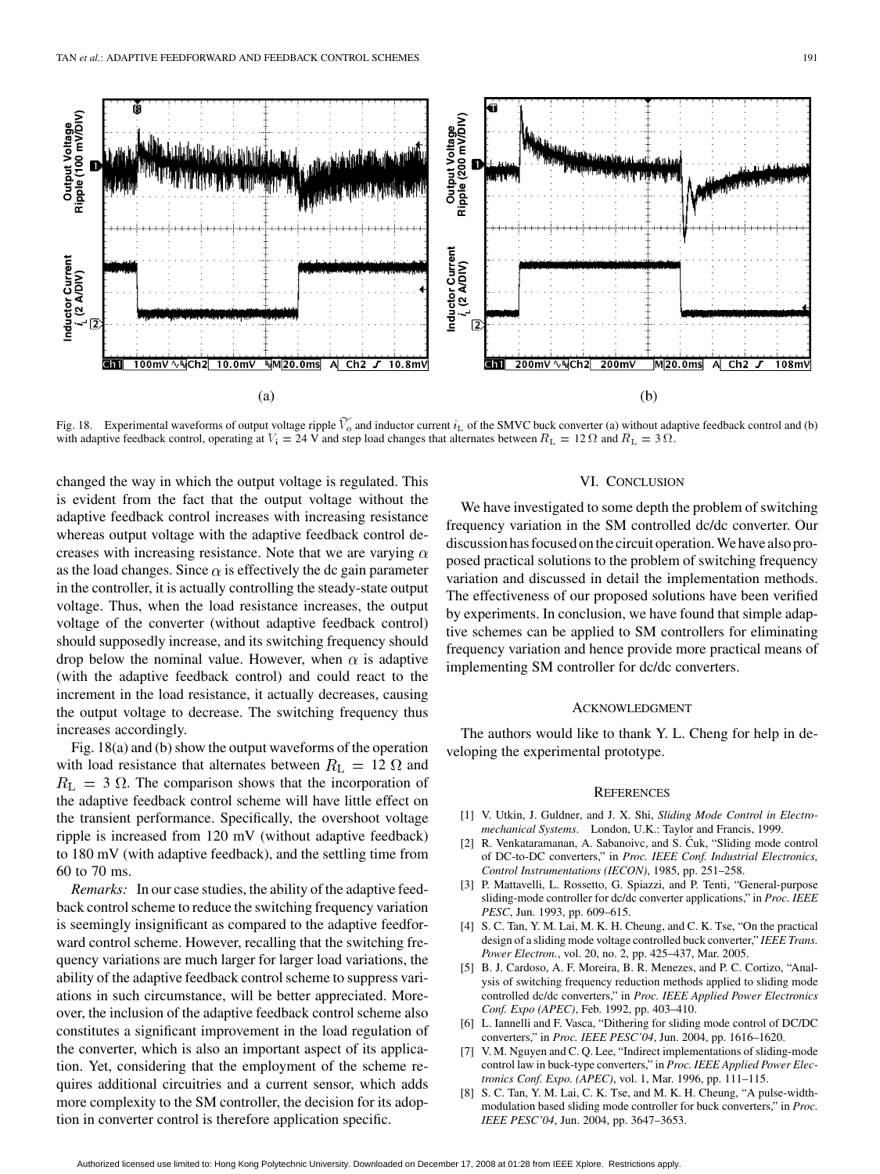<span id="page-9-0"></span>

Fig. 18. Experimental waveforms of output voltage ripple  $\widetilde{V}_0$  and inductor current  $i<sub>L</sub>$  of the SMVC buck converter (a) without adaptive feedback control and (b) with adaptive feedback control, operating at  $V_i = 24$  V and step load changes that alternates between  $R_L = 12 \Omega$  and  $R_L = 3 \Omega$ .

changed the way in which the output voltage is regulated. This is evident from the fact that the output voltage without the adaptive feedback control increases with increasing resistance whereas output voltage with the adaptive feedback control decreases with increasing resistance. Note that we are varying  $\alpha$ as the load changes. Since  $\alpha$  is effectively the dc gain parameter in the controller, it is actually controlling the steady-state output voltage. Thus, when the load resistance increases, the output voltage of the converter (without adaptive feedback control) should supposedly increase, and its switching frequency should drop below the nominal value. However, when  $\alpha$  is adaptive (with the adaptive feedback control) and could react to the increment in the load resistance, it actually decreases, causing the output voltage to decrease. The switching frequency thus increases accordingly.

Fig. 18(a) and (b) show the output waveforms of the operation with load resistance that alternates between  $R_{\rm L} = 12 \Omega$  and  $R_{\rm L}$  = 3  $\Omega$ . The comparison shows that the incorporation of the adaptive feedback control scheme will have little effect on the transient performance. Specifically, the overshoot voltage ripple is increased from 120 mV (without adaptive feedback) to 180 mV (with adaptive feedback), and the settling time from 60 to 70 ms.

*Remarks:* In our case studies, the ability of the adaptive feedback control scheme to reduce the switching frequency variation is seemingly insignificant as compared to the adaptive feedforward control scheme. However, recalling that the switching frequency variations are much larger for larger load variations, the ability of the adaptive feedback control scheme to suppress variations in such circumstance, will be better appreciated. Moreover, the inclusion of the adaptive feedback control scheme also constitutes a significant improvement in the load regulation of the converter, which is also an important aspect of its application. Yet, considering that the employment of the scheme requires additional circuitries and a current sensor, which adds more complexity to the SM controller, the decision for its adoption in converter control is therefore application specific.

## VI. CONCLUSION

We have investigated to some depth the problem of switching frequency variation in the SM controlled dc/dc converter. Our discussion has focused on the circuit operation. We have also proposed practical solutions to the problem of switching frequency variation and discussed in detail the implementation methods. The effectiveness of our proposed solutions have been verified by experiments. In conclusion, we have found that simple adaptive schemes can be applied to SM controllers for eliminating frequency variation and hence provide more practical means of implementing SM controller for dc/dc converters.

## ACKNOWLEDGMENT

The authors would like to thank Y. L. Cheng for help in developing the experimental prototype.

#### **REFERENCES**

- [1] V. Utkin, J. Guldner, and J. X. Shi, *Sliding Mode Control in Electromechanical Systems*. London, U.K.: Taylor and Francis, 1999.
- [2] R. Venkataramanan, A. Sabanoivc, and S. Cuk, "Sliding mode control of DC-to-DC converters," in *Proc. IEEE Conf. Industrial Electronics, Control Instrumentations (IECON)*, 1985, pp. 251–258.
- [3] P. Mattavelli, L. Rossetto, G. Spiazzi, and P. Tenti, "General-purpose sliding-mode controller for dc/dc converter applications," in *Proc. IEEE PESC*, Jun. 1993, pp. 609–615.
- [4] S. C. Tan, Y. M. Lai, M. K. H. Cheung, and C. K. Tse, "On the practical design of a sliding mode voltage controlled buck converter," *IEEE Trans. Power Electron.*, vol. 20, no. 2, pp. 425–437, Mar. 2005.
- [5] B. J. Cardoso, A. F. Moreira, B. R. Menezes, and P. C. Cortizo, "Analysis of switching frequency reduction methods applied to sliding mode controlled dc/dc converters," in *Proc. IEEE Applied Power Electronics Conf. Expo (APEC)*, Feb. 1992, pp. 403–410.
- [6] L. Iannelli and F. Vasca, "Dithering for sliding mode control of DC/DC converters," in *Proc. IEEE PESC'04*, Jun. 2004, pp. 1616–1620.
- [7] V. M. Nguyen and C. Q. Lee, "Indirect implementations of sliding-mode control law in buck-type converters," in *Proc. IEEE Applied Power Electronics Conf. Expo. (APEC)*, vol. 1, Mar. 1996, pp. 111–115.
- [8] S. C. Tan, Y. M. Lai, C. K. Tse, and M. K. H. Cheung, "A pulse-widthmodulation based sliding mode controller for buck converters," in *Proc. IEEE PESC'04*, Jun. 2004, pp. 3647–3653.